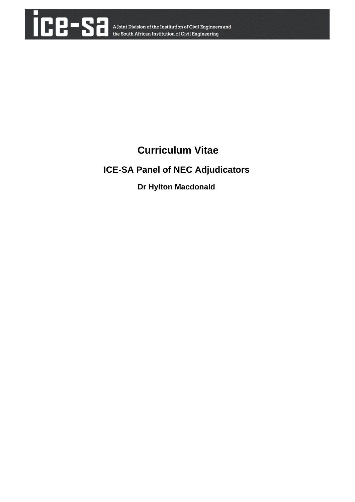

## **Curriculum Vitae**

### **ICE-SA Panel of NEC Adjudicators**

### **Dr Hylton Macdonald**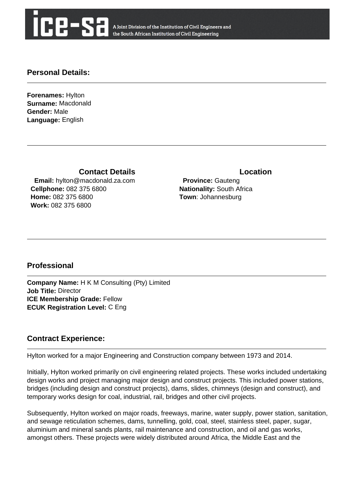

A Joint Division of the Institution of Civil Engineers and the South African Institution of Civil Engineering

#### **Personal Details:**

**Forenames:** Hylton **Surname:** Macdonald **Gender:** Male **Language:** English

**Contact Details Contact Details** 

 **Email:** hylton@macdonald.za.com **Cellphone:** 082 375 6800 **Home:** 082 375 6800 **Work:** 082 375 6800

 **Province:** Gauteng **Nationality:** South Africa **Town**: Johannesburg

#### **Professional**

**Company Name:** H K M Consulting (Pty) Limited **Job Title:** Director **ICE Membership Grade:** Fellow **ECUK Registration Level:** C Eng

#### **Contract Experience:**

Hylton worked for a major Engineering and Construction company between 1973 and 2014.

Initially, Hylton worked primarily on civil engineering related projects. These works included undertaking design works and project managing major design and construct projects. This included power stations, bridges (including design and construct projects), dams, slides, chimneys (design and construct), and temporary works design for coal, industrial, rail, bridges and other civil projects.

Subsequently, Hylton worked on major roads, freeways, marine, water supply, power station, sanitation, and sewage reticulation schemes, dams, tunnelling, gold, coal, steel, stainless steel, paper, sugar, aluminium and mineral sands plants, rail maintenance and construction, and oil and gas works, amongst others. These projects were widely distributed around Africa, the Middle East and the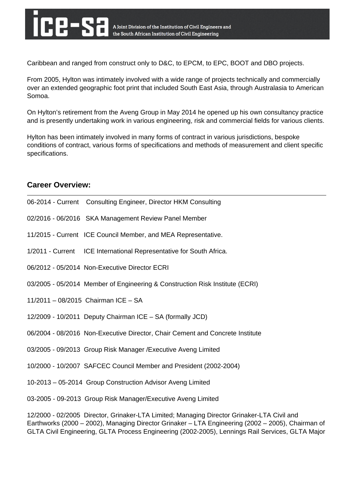Caribbean and ranged from construct only to D&C, to EPCM, to EPC, BOOT and DBO projects.

From 2005, Hylton was intimately involved with a wide range of projects technically and commercially over an extended geographic foot print that included South East Asia, through Australasia to American Somoa.

On Hylton's retirement from the Aveng Group in May 2014 he opened up his own consultancy practice and is presently undertaking work in various engineering, risk and commercial fields for various clients.

Hylton has been intimately involved in many forms of contract in various jurisdictions, bespoke conditions of contract, various forms of specifications and methods of measurement and client specific specifications.

#### **Career Overview:**

| 06-2014 - Current Consulting Engineer, Director HKM Consulting                                                                                                                                                                                                                                      |
|-----------------------------------------------------------------------------------------------------------------------------------------------------------------------------------------------------------------------------------------------------------------------------------------------------|
| 02/2016 - 06/2016 SKA Management Review Panel Member                                                                                                                                                                                                                                                |
| 11/2015 - Current ICE Council Member, and MEA Representative.                                                                                                                                                                                                                                       |
| 1/2011 - Current ICE International Representative for South Africa.                                                                                                                                                                                                                                 |
| 06/2012 - 05/2014 Non-Executive Director ECRI                                                                                                                                                                                                                                                       |
| 03/2005 - 05/2014 Member of Engineering & Construction Risk Institute (ECRI)                                                                                                                                                                                                                        |
| 11/2011 - 08/2015 Chairman ICE - SA                                                                                                                                                                                                                                                                 |
| 12/2009 - 10/2011 Deputy Chairman ICE - SA (formally JCD)                                                                                                                                                                                                                                           |
| 06/2004 - 08/2016 Non-Executive Director, Chair Cement and Concrete Institute                                                                                                                                                                                                                       |
| 03/2005 - 09/2013 Group Risk Manager / Executive Aveng Limited                                                                                                                                                                                                                                      |
| 10/2000 - 10/2007 SAFCEC Council Member and President (2002-2004)                                                                                                                                                                                                                                   |
| 10-2013 - 05-2014 Group Construction Advisor Aveng Limited                                                                                                                                                                                                                                          |
| 03-2005 - 09-2013 Group Risk Manager/Executive Aveng Limited                                                                                                                                                                                                                                        |
| 12/2000 - 02/2005 Director, Grinaker-LTA Limited; Managing Director Grinaker-LTA Civil and<br>Earthworks (2000 - 2002), Managing Director Grinaker - LTA Engineering (2002 - 2005), Chairman of<br>GLTA Civil Engineering, GLTA Process Engineering (2002-2005), Lennings Rail Services, GLTA Major |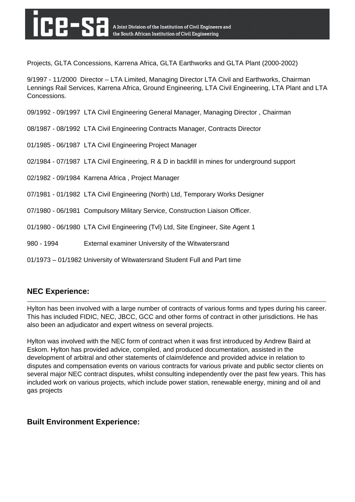Projects, GLTA Concessions, Karrena Africa, GLTA Earthworks and GLTA Plant (2000-2002)

9/1997 - 11/2000 Director – LTA Limited, Managing Director LTA Civil and Earthworks, Chairman Lennings Rail Services, Karrena Africa, Ground Engineering, LTA Civil Engineering, LTA Plant and LTA Concessions.

09/1992 - 09/1997 LTA Civil Engineering General Manager, Managing Director , Chairman

- 08/1987 08/1992 LTA Civil Engineering Contracts Manager, Contracts Director
- 01/1985 06/1987 LTA Civil Engineering Project Manager
- 02/1984 07/1987 LTA Civil Engineering, R & D in backfill in mines for underground support
- 02/1982 09/1984 Karrena Africa , Project Manager
- 07/1981 01/1982 LTA Civil Engineering (North) Ltd, Temporary Works Designer
- 07/1980 06/1981 Compulsory Military Service, Construction Liaison Officer.
- 01/1980 06/1980 LTA Civil Engineering (Tvl) Ltd, Site Engineer, Site Agent 1
- 980 1994 External examiner University of the Witwatersrand
- 01/1973 01/1982 University of Witwatersrand Student Full and Part time

#### **NEC Experience:**

Hylton has been involved with a large number of contracts of various forms and types during his career. This has included FIDIC, NEC, JBCC, GCC and other forms of contract in other jurisdictions. He has also been an adjudicator and expert witness on several projects.

Hylton was involved with the NEC form of contract when it was first introduced by Andrew Baird at Eskom. Hylton has provided advice, compiled, and produced documentation, assisted in the development of arbitral and other statements of claim/defence and provided advice in relation to disputes and compensation events on various contracts for various private and public sector clients on several major NEC contract disputes, whilst consulting independently over the past few years. This has included work on various projects, which include power station, renewable energy, mining and oil and gas projects

#### **Built Environment Experience:**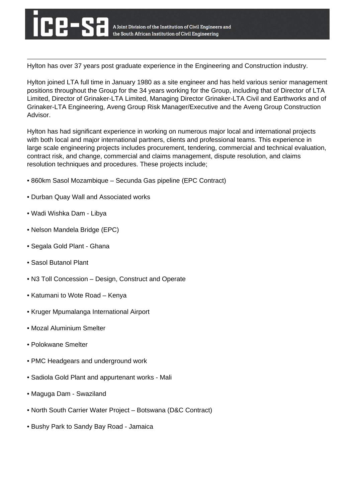Hylton has over 37 years post graduate experience in the Engineering and Construction industry.

Hylton joined LTA full time in January 1980 as a site engineer and has held various senior management positions throughout the Group for the 34 years working for the Group, including that of Director of LTA Limited, Director of Grinaker-LTA Limited, Managing Director Grinaker-LTA Civil and Earthworks and of Grinaker-LTA Engineering, Aveng Group Risk Manager/Executive and the Aveng Group Construction Advisor.

Hylton has had significant experience in working on numerous major local and international projects with both local and major international partners, clients and professional teams. This experience in large scale engineering projects includes procurement, tendering, commercial and technical evaluation, contract risk, and change, commercial and claims management, dispute resolution, and claims resolution techniques and procedures. These projects include;

- 860km Sasol Mozambique Secunda Gas pipeline (EPC Contract)
- Durban Quay Wall and Associated works
- Wadi Wishka Dam Libya
- Nelson Mandela Bridge (EPC)
- Segala Gold Plant Ghana
- Sasol Butanol Plant
- N3 Toll Concession Design, Construct and Operate
- Katumani to Wote Road Kenya
- Kruger Mpumalanga International Airport
- Mozal Aluminium Smelter
- Polokwane Smelter
- PMC Headgears and underground work
- Sadiola Gold Plant and appurtenant works Mali
- Maguga Dam Swaziland
- North South Carrier Water Project Botswana (D&C Contract)
- Bushy Park to Sandy Bay Road Jamaica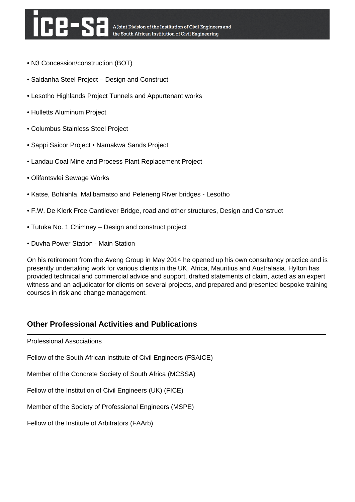- N3 Concession/construction (BOT)
- Saldanha Steel Project Design and Construct
- Lesotho Highlands Project Tunnels and Appurtenant works
- Hulletts Aluminum Project
- Columbus Stainless Steel Project
- Sappi Saicor Project Namakwa Sands Project
- Landau Coal Mine and Process Plant Replacement Project
- Olifantsvlei Sewage Works
- Katse, Bohlahla, Malibamatso and Peleneng River bridges Lesotho
- F.W. De Klerk Free Cantilever Bridge, road and other structures, Design and Construct
- Tutuka No. 1 Chimney Design and construct project
- Duvha Power Station Main Station

On his retirement from the Aveng Group in May 2014 he opened up his own consultancy practice and is presently undertaking work for various clients in the UK, Africa, Mauritius and Australasia. Hylton has provided technical and commercial advice and support, drafted statements of claim, acted as an expert witness and an adjudicator for clients on several projects, and prepared and presented bespoke training courses in risk and change management.

#### **Other Professional Activities and Publications**

Professional Associations

Fellow of the South African Institute of Civil Engineers (FSAICE)

Member of the Concrete Society of South Africa (MCSSA)

Fellow of the Institution of Civil Engineers (UK) (FICE)

Member of the Society of Professional Engineers (MSPE)

Fellow of the Institute of Arbitrators (FAArb)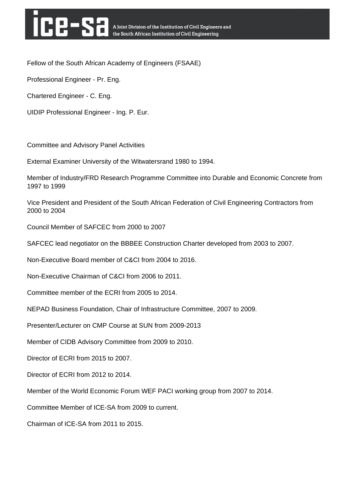# **HHES**

Fellow of the South African Academy of Engineers (FSAAE)

Professional Engineer - Pr. Eng.

Chartered Engineer - C. Eng.

UIDIP Professional Engineer - Ing. P. Eur.

Committee and Advisory Panel Activities

External Examiner University of the Witwatersrand 1980 to 1994.

Member of Industry/FRD Research Programme Committee into Durable and Economic Concrete from 1997 to 1999

Vice President and President of the South African Federation of Civil Engineering Contractors from 2000 to 2004

Council Member of SAFCEC from 2000 to 2007

SAFCEC lead negotiator on the BBBEE Construction Charter developed from 2003 to 2007.

Non-Executive Board member of C&CI from 2004 to 2016.

Non-Executive Chairman of C&CI from 2006 to 2011.

Committee member of the ECRI from 2005 to 2014.

NEPAD Business Foundation, Chair of Infrastructure Committee, 2007 to 2009.

Presenter/Lecturer on CMP Course at SUN from 2009-2013

Member of CIDB Advisory Committee from 2009 to 2010.

Director of ECRI from 2015 to 2007.

Director of ECRI from 2012 to 2014.

Member of the World Economic Forum WEF PACI working group from 2007 to 2014.

Committee Member of ICE-SA from 2009 to current.

Chairman of ICE-SA from 2011 to 2015.